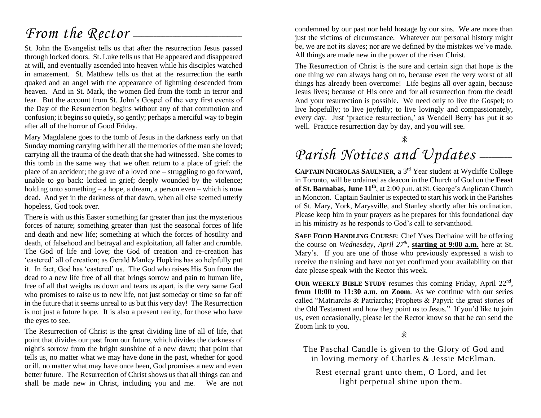## *From the Rector* —

St. John the Evangelist tells us that after the resurrection Jesus passed through locked doors. St. Luke tells us that He appeared and disappeared at will, and eventually ascended into heaven while his disciples watched in amazement. St. Matthew tells us that at the resurrection the earth quaked and an angel with the appearance of lightning descended from heaven. And in St. Mark, the women fled from the tomb in terror and fear. But the account from St. John's Gospel of the very first events of the Day of the Resurrection begins without any of that commotion and confusion; it begins so quietly, so gently; perhaps a merciful way to begin after all of the horror of Good Friday.

Mary Magdalene goes to the tomb of Jesus in the darkness early on that Sunday morning carrying with her all the memories of the man she loved; carrying all the trauma of the death that she had witnessed. She comes to this tomb in the same way that we often return to a place of grief: the place of an accident; the grave of a loved one – struggling to go forward, unable to go back: locked in grief; deeply wounded by the violence; holding onto something – a hope, a dream, a person even – which is now dead. And yet in the darkness of that dawn, when all else seemed utterly hopeless, God took over.

There is with us this Easter something far greater than just the mysterious forces of nature; something greater than just the seasonal forces of life and death and new life; something at which the forces of hostility and death, of falsehood and betrayal and exploitation, all falter and crumble. The God of life and love; the God of creation and re-creation has 'eastered' all of creation; as Gerald Manley Hopkins has so helpfully put it. In fact, God has 'eastered' us. The God who raises His Son from the dead to a new life free of all that brings sorrow and pain to human life, free of all that weighs us down and tears us apart, is the very same God who promises to raise us to new life, not just someday or time so far off in the future that it seems unreal to us but this very day! The Resurrection is not just a future hope. It is also a present reality, for those who have the eyes to see.

The Resurrection of Christ is the great dividing line of all of life, that point that divides our past from our future, which divides the darkness of night's sorrow from the bright sunshine of a new dawn; that point that tells us, no matter what we may have done in the past, whether for good or ill, no matter what may have once been, God promises a new and even better future. The Resurrection of Christ shows us that all things can and shall be made new in Christ, including you and me. We are not

condemned by our past nor held hostage by our sins. We are more than just the victims of circumstance. Whatever our personal history might be, we are not its slaves; nor are we defined by the mistakes we've made. All things are made new in the power of the risen Christ.

The Resurrection of Christ is the sure and certain sign that hope is the one thing we can always hang on to, because even the very worst of all things has already been overcome! Life begins all over again, because Jesus lives; because of His once and for all resurrection from the dead! And your resurrection is possible. We need only to live the Gospel; to live hopefully; to live joyfully; to live lovingly and compassionately, every day. Just 'practice resurrection,' as Wendell Berry has put it so well. Practice resurrection day by day, and you will see.

## Parish Notices and Updates \_\_\_\_\_

**CAPTAIN NICHOLAS SAULNIER**, a 3rd Year student at Wycliffe College in Toronto, will be ordained as deacon in the Church of God on the **Feast of St. Barnabas, June 11th**, at 2:00 p.m. at St. George's Anglican Church in Moncton. Captain Saulnier is expected to start his work in the Parishes of St. Mary, York, Marysville, and Stanley shortly after his ordination. Please keep him in your prayers as he prepares for this foundational day in his ministry as he responds to God's call to servanthood.

**SAFE FOOD HANDLING COURSE**: Chef Yves Dechaine will be offering the course on *Wednesday, April 27th* , **starting at 9:00 a.m.** here at St. Mary's. If you are one of those who previously expressed a wish to receive the training and have not yet confirmed your availability on that date please speak with the Rector this week.

OUR WEEKLY BIBLE STUDY resumes this coming Friday, April 22<sup>nd</sup>, **from 10:00 to 11:30 a.m. on Zoom**. As we continue with our series called "Matriarchs & Patriarchs; Prophets & Papyri: the great stories of the Old Testament and how they point us to Jesus." If you'd like to join us, even occasionally, please let the Rector know so that he can send the Zoom link to you.

 $\mathcal{R}$ 

The Paschal Candle is given to the Glory of God and in loving memory of Charles & Jessie McElman.

Rest eternal grant unto them, O Lord, and let light perpetual shine upon them.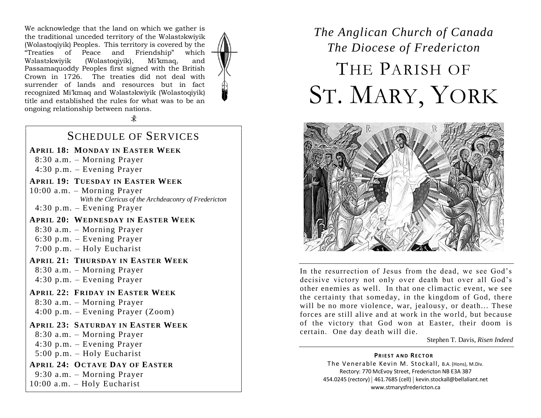We acknowledge that the land on which we gather is the traditional unceded territory of the Wəlastəkwiyik (Wolastoqiyik) Peoples. This territory is covered by the "Treaties of Peace and Friendship" which Wəlastəkwiyik (Wolastoqiyik), Mi'kmaq, and Passamaquoddy Peoples first signed with the British Crown in 1726. The treaties did not deal with surrender of lands and resources but in fact recognized Mi'kmaq and Wəlastəkwiyik (Wolastoqiyik) title and established the rules for what was to be an ongoing relationship between nations.

 $\mathcal{R}$ 

#### SCHEDULE OF SERVICES

**APRIL 18: MONDAY IN EASTER WEEK**

- 8:30 a.m. Morning Prayer
- 4:30 p.m. Evening Prayer
- **APRIL 19: TUESDAY IN EASTER WEEK**

10:00 a.m. – Morning Prayer *With the Clericus of the Archdeaconry of Fredericton* 

4:30 p.m. – Evening Prayer

**APRIL 20: WEDNESDAY IN EASTER WEEK**

 8:30 a.m. – Morning Prayer 6:30 p.m. – Evening Prayer 7:00 p.m. – Holy Eucharist

**APRIL 21: THURSDAY IN EASTER WEEK**

 8:30 a.m. – Morning Prayer 4:30 p.m. – Evening Prayer

#### **APRIL 22: FRIDAY IN EASTER WEEK**

 8:30 a.m. – Morning Prayer 4:00 p.m. – Evening Prayer (Zoom)

#### **APRIL 23: SATURDAY IN EASTER WEEK**

 8:30 a.m. – Morning Prayer 4:30 p.m. – Evening Prayer 5:00 p.m. – Holy Eucharist **APRIL 24: OCTAVE DAY OF EASTER**

9:30 a.m. – Morning Prayer

10:00 a.m. – Holy Eucharist

## *The Anglican Church of Canada The Diocese of Fredericton* THE PARISH OF ST. MARY, YORK



In the resurrection of Jesus from the dead, we see God's decisive victory not only over death but over all God's other enemies as well. In that one climactic event, we see the certainty that someday, in the kingdom of God, there will be no more violence, war, jealousy, or death... These forces are still alive and at work in the world, but because of the victory that God won at Easter, their doom is certain. One day death will die.

#### Stephen T. Davis, *Risen Indeed*

#### **PRIEST AND RECTOR**

The Venerable Kevin M. Stockall, B.A. (Hons), M.Div. Rectory: 770 McEvoy Street, Fredericton NB E3A 3B7 454.0245 (rectory) | 461.7685 (cell) | kevin.stockall@bellaliant.net www.stmarysfredericton.ca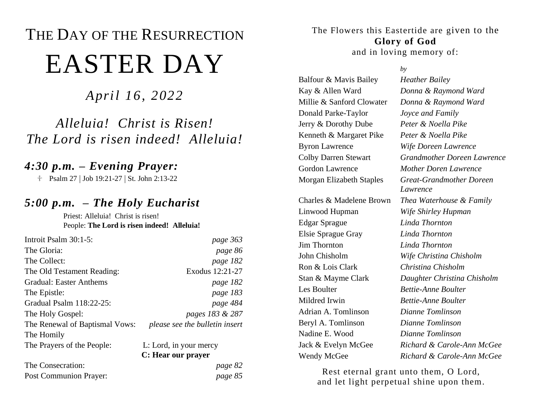# THE DAY OF THE RESURRECTION EASTER DAY

*April 16, 2022*

## *Alleluia! Christ is Risen! The Lord is risen indeed! Alleluia!*

## *4:30 p.m. – Evening Prayer:*

**Psalm 27 | Job 19:21-27 | St. John 2:13-22** 

## *5:00 p.m. – The Holy Eucharist*

Priest: Alleluia! Christ is risen! People: **The Lord is risen indeed! Alleluia!**

| Introit Psalm 30:1-5:          | page 363                       |  |
|--------------------------------|--------------------------------|--|
| The Gloria:                    | page 86                        |  |
| The Collect:                   | page 182                       |  |
| The Old Testament Reading:     | Exodus 12:21-27                |  |
| Gradual: Easter Anthems        | page 182                       |  |
| The Epistle:                   | page 183                       |  |
| Gradual Psalm 118:22-25:       | page 484                       |  |
| The Holy Gospel:               | pages 183 & 287                |  |
| The Renewal of Baptismal Vows: | please see the bulletin insert |  |
| The Homily                     |                                |  |
| The Prayers of the People:     | L: Lord, in your mercy         |  |
|                                | C: Hear our prayer             |  |
| The Consecration:              | page 82                        |  |
| Post Communion Prayer:         | page 85                        |  |

The Flowers this Eastertide are given to the **Glory of God**

and in loving memory of:

#### *by*

Balfour & Mavis Bailey *Heather Bailey* Kay & Allen Ward *Donna & Raymond Ward* Millie & Sanford Clowater *Donna & Raymond Ward* Donald Parke-Taylor *Joyce and Family* Jerry & Dorothy Dube *Peter & Noella Pike* Kenneth & Margaret Pike *Peter & Noella Pike* Byron Lawrence *Wife Doreen Lawrence* Gordon Lawrence *Mother Doren Lawrence* Linwood Hupman *Wife Shirley Hupman* Edgar Sprague *Linda Thornton* Elsie Sprague Gray *Linda Thornton* Jim Thornton *Linda Thornton*

Colby Darren Stewart *Grandmother Doreen Lawrence* Morgan Elizabeth Staples *Great-Grandmother Doreen Lawrence* Charles & Madelene Brown *Thea Waterhouse & Family* John Chisholm *Wife Christina Chisholm* Ron & Lois Clark *Christina Chisholm* Stan & Mayme Clark *Daughter Christina Chisholm* Les Boulter *Bettie-Anne Boulter* Mildred Irwin *Bettie-Anne Boulter* Adrian A. Tomlinson *Dianne Tomlinson* Beryl A. Tomlinson *Dianne Tomlinson* Nadine E. Wood *Dianne Tomlinson* Jack & Evelyn McGee *Richard & Carole-Ann McGee* Wendy McGee *Richard & Carole-Ann McGee*

Rest eternal grant unto them, O Lord, and let light perpetual shine upon them.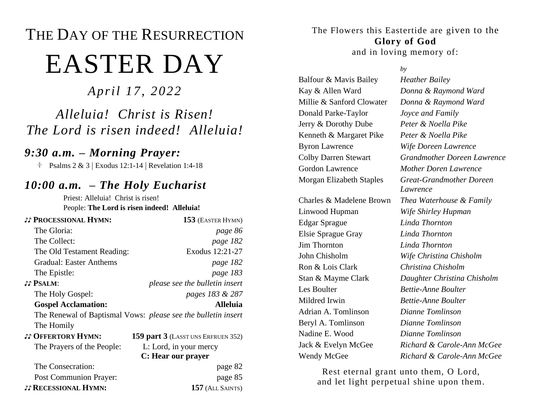# THE DAY OF THE RESURRECTION EASTER DAY

*April 17, 2022*

## *Alleluia! Christ is Risen! The Lord is risen indeed! Alleluia!*

## *9:30 a.m. – Morning Prayer:*

 $\text{Psalms } 2 \& 3 \mid$  Exodus 12:1-14 | Revelation 1:4-18

## *10:00 a.m. – The Holy Eucharist*

Priest: Alleluia! Christ is risen! People: **The Lord is risen indeed! Alleluia!**

| <b>JJ PROCESSIONAL HYMN:</b>  | 153 (EASTER HYMN)                                             |
|-------------------------------|---------------------------------------------------------------|
| The Gloria:                   | page 86                                                       |
| The Collect:                  | page 182                                                      |
| The Old Testament Reading:    | Exodus 12:21-27                                               |
| Gradual: Easter Anthems       | page 182                                                      |
| The Epistle:                  | page 183                                                      |
| <b>JJ PSALM:</b>              | please see the bulletin insert                                |
| The Holy Gospel:              | pages 183 & 287                                               |
| <b>Gospel Acclamation:</b>    | <b>Alleluia</b>                                               |
|                               | The Renewal of Baptismal Vows: please see the bulletin insert |
| The Homily                    |                                                               |
| <b>JJ OFFERTORY HYMN:</b>     | 159 part 3 (LASST UNS ERFRUEN 352)                            |
| The Prayers of the People:    | L: Lord, in your mercy                                        |
|                               | C: Hear our prayer                                            |
| The Consecration:             | page 82                                                       |
| <b>Post Communion Prayer:</b> | page 85                                                       |
| <b>JJ RECESSIONAL HYMN:</b>   | $157$ (ALL SAINTS)                                            |

The Flowers this Eastertide are given to the **Glory of God**

and in loving memory of:

#### *by*

Kay & Allen Ward *Donna & Raymond Ward* Millie & Sanford Clowater *Donna & Raymond Ward* Donald Parke-Taylor *Joyce and Family* Jerry & Dorothy Dube *Peter & Noella Pike* Kenneth & Margaret Pike *Peter & Noella Pike* Byron Lawrence *Wife Doreen Lawrence* Gordon Lawrence *Mother Doren Lawrence* Linwood Hupman *Wife Shirley Hupman* Edgar Sprague *Linda Thornton* Elsie Sprague Gray *Linda Thornton* Jim Thornton *Linda Thornton* John Chisholm *Wife Christina Chisholm* Ron & Lois Clark *Christina Chisholm* Les Boulter *Bettie-Anne Boulter* Mildred Irwin *Bettie-Anne Boulter* Adrian A. Tomlinson *Dianne Tomlinson* Beryl A. Tomlinson *Dianne Tomlinson* Nadine E. Wood *Dianne Tomlinson*

Balfour & Mavis Bailey *Heather Bailey* Colby Darren Stewart *Grandmother Doreen Lawrence* Morgan Elizabeth Staples *Great-Grandmother Doreen Lawrence* Charles & Madelene Brown *Thea Waterhouse & Family* Stan & Mayme Clark *Daughter Christina Chisholm* Jack & Evelyn McGee *Richard & Carole-Ann McGee* Wendy McGee *Richard & Carole-Ann McGee*

Rest eternal grant unto them, O Lord, and let light perpetual shine upon them.